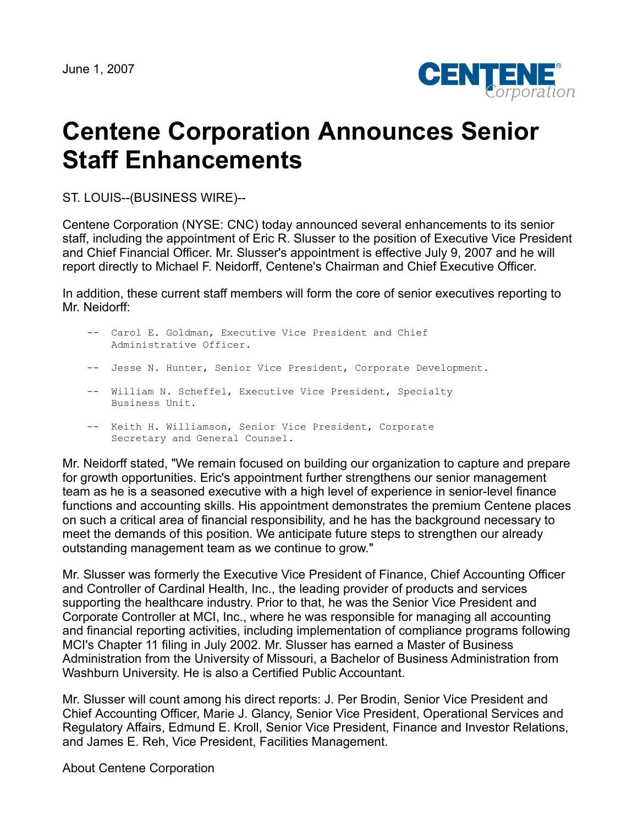

## **Centene Corporation Announces Senior Staff Enhancements**

ST. LOUIS--(BUSINESS WIRE)--

Centene Corporation (NYSE: CNC) today announced several enhancements to its senior staff, including the appointment of Eric R. Slusser to the position of Executive Vice President and Chief Financial Officer. Mr. Slusser's appointment is effective July 9, 2007 and he will report directly to Michael F. Neidorff, Centene's Chairman and Chief Executive Officer.

In addition, these current staff members will form the core of senior executives reporting to Mr. Neidorff:

| -- Carol E. Goldman, Executive Vice President and Chief<br>Administrative Officer. |
|------------------------------------------------------------------------------------|
| -- Jesse N. Hunter, Senior Vice President, Corporate Development.                  |
| -- William N. Scheffel, Executive Vice President, Specialty<br>Business Unit.      |

 -- Keith H. Williamson, Senior Vice President, Corporate Secretary and General Counsel.

Mr. Neidorff stated, "We remain focused on building our organization to capture and prepare for growth opportunities. Eric's appointment further strengthens our senior management team as he is a seasoned executive with a high level of experience in senior-level finance functions and accounting skills. His appointment demonstrates the premium Centene places on such a critical area of financial responsibility, and he has the background necessary to meet the demands of this position. We anticipate future steps to strengthen our already outstanding management team as we continue to grow."

Mr. Slusser was formerly the Executive Vice President of Finance, Chief Accounting Officer and Controller of Cardinal Health, Inc., the leading provider of products and services supporting the healthcare industry. Prior to that, he was the Senior Vice President and Corporate Controller at MCI, Inc., where he was responsible for managing all accounting and financial reporting activities, including implementation of compliance programs following MCI's Chapter 11 filing in July 2002. Mr. Slusser has earned a Master of Business Administration from the University of Missouri, a Bachelor of Business Administration from Washburn University. He is also a Certified Public Accountant.

Mr. Slusser will count among his direct reports: J. Per Brodin, Senior Vice President and Chief Accounting Officer, Marie J. Glancy, Senior Vice President, Operational Services and Regulatory Affairs, Edmund E. Kroll, Senior Vice President, Finance and Investor Relations, and James E. Reh, Vice President, Facilities Management.

About Centene Corporation